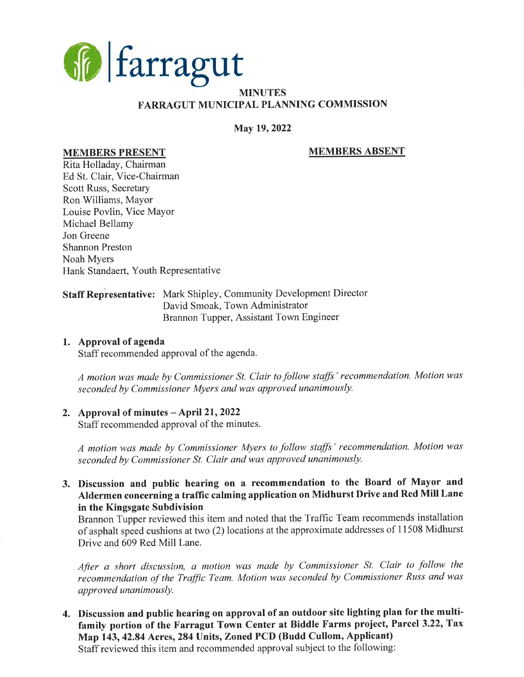

## MINUTES FARRAGUT MUNICIPAL PLANNING COMMISSION

## May 19, 2022

## MEMBERS PRESENT MEMBERS ABSENT

# Rita Holladay, Chairman Ed St. Clair, Vice-Chairman Scott Russ, Secretary Ron Williams, Mayor Louise Povlin, Vice Mayor Michael Bellamy Jon Greene Shannon Preston Noah Myers Hank Standaert, Youth Representative

### Staff Representative: Mark Shipley, Community Development Director David Smoak, Town Administrator Brannon Tupper, Assistant Town Engineer

### 1. Approval of agenda

Staff recommended approval of the agenda.

A motion was made by Commissioner St. Clair to follow staffs' recommendation. Motion was seconded by Commissioner Myers and was approved unanimously.

### 2. Approval of minutes  $-$  April 21, 2022

Staff recommended approval of the minutes.

A motion was made by Commissioner Myers to follow staffs' recommendation. Motion was seconded by Commissioner St. Clair and was approved unanimously.

3. Discussion and public hearing on a recommendation to the Board of Mayor and Aldermen concerning a traffic calming application on Midhurst Drive and Red Mill Lane in the Kingsgate Subdivision

Brannon Tupper reviewed this item and noted that the Traffic Team recommends installation of asphalt speed cushions at two (2) locations at the approximate addresses of 1 1508 Midhurst Drive and 609 Red Mill Lane.

After a short discussion, a motion was made by Commissioner St. Clair to follow the recommendation of the Traffic Team. Motion was seconded by Commissioner Russ and was approved unanimously.

4. Discussion and public hearing on approval of an outdoor site lighting plan for the multifamily portion of the Farragut Town Center at Biddle Farms project, Parcel 3.22, Tax Map 143, 42.84 Acres,284 Units, Zoned PCD (Budd Cullom, Applicant)

Staff reviewed this item and recommended approval subject to the following: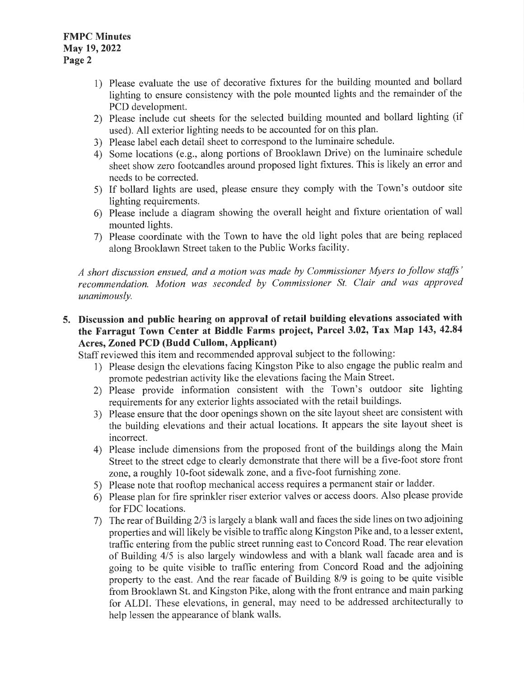- 1) Please evaluate the use of decorative fixtures for the building mounted and bollard lighting to ensure consistency with the pole mounted lights and the remainder of the PCD development.
- 2) Please include cut sheets for the selected building mounted and bollard lighting (if used). All exterior lighting needs to be accounted for on this plan.
- 3) Please label each detail sheet to correspond to the luminaire schedule.
- 4) Some locations (e.g., along portions of Brooklawn Drive) on the luminaire schedule sheet show zero footcandles around proposed light fixtures. This is likely an error and needs to be corrected.
- 5) If bollard lights are used, please ensure they comply with the Town's outdoor site lighting requirements.
- 6) Please include a diagram showing the overall height and fixture orientation of wall mounted lights.
- 7) Please coordinate with the Town to have the old light poles that are being replaced along Brooklawn Street taken to the Public Works facility.

A short discussion ensued, and a motion was made by Commissioner Myers to follow staffs' recommendation. Motion was seconded by Commissioner St. Clair and was approved unanimously.

# 5. Discussion and public hearing on approval of retail building elevations associated with the Farragut Town Center at Biddle Farms project, Parcel 3.02, Tax Map 143, 42.84 Acres, Zoned PCD (Budd Cullom, Applicant)

Staff reviewed this item and recommended approval subject to the following:

- 1) Please design the elevations facing Kingston Pike to also engage the public realm and promote pedestrian activity like the elevations facing the Main Street.
- 2) Please provide information consistent with the Town's outdoor site lighting requirements for any exterior lights associated with the retail buildings.
- 3) Please ensure that the door openings shown on the site layout sheet are consistent with the building elevations and their actual locations. It appears the site layout sheet is incorrect.
- 4) Please include dimensions from the proposed front of the buildings along the Main Street to the street edge to clearly demonstrate that there will be a five-foot store front zone, aroughly l0-foot sidewalk zone, and a five-foot furnishing zone.
- 5) Please note that rooftop mechanical access requires a permanent stair or ladder.
- 6) Please plan for fire sprinkler riser exterior valves or access doors. Also please provide for FDC locations.
- 7) The rear of Building 2/3 is largely a blank wall and faces the side lines on two adjoining properties and will likely be visible to traffic along Kingston Pike and, to a lesser extent, traffic entering from the public street running east to Concord Road. The rear elevation of Building 415 is also largely windowless and with ablankwall facade area and is going to be quite visible to traffic entering from Concord Road and the adjoining property to the east. And the rear facade of Building 8/9 is going to be quite visible from Brooklawn St. and Kingston Pike, along with the front entrance and main parking for ALDI. These elevations, in general, may need to be addressed architecturally to help lessen the appearance of blank walls.